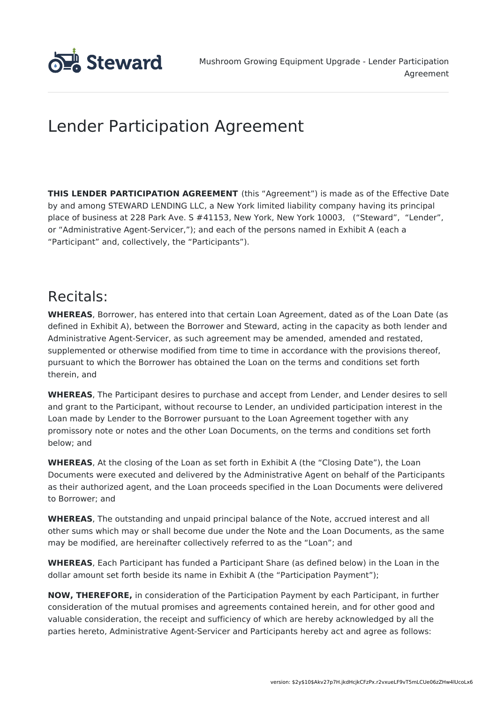

# Lender Participation Agreement

**THIS LENDER PARTICIPATION AGREEMENT** (this "Agreement") is made as of the Effective Date by and among STEWARD LENDING LLC, a New York limited liability company having its principal place of business at 228 Park Ave. S #41153, New York, New York 10003, ("Steward", "Lender", or "Administrative Agent-Servicer,"); and each of the persons named in Exhibit A (each a "Participant" and, collectively, the "Participants").

# Recitals:

**WHEREAS**, Borrower, has entered into that certain Loan Agreement, dated as of the Loan Date (as defined in Exhibit A), between the Borrower and Steward, acting in the capacity as both lender and Administrative Agent-Servicer, as such agreement may be amended, amended and restated, supplemented or otherwise modified from time to time in accordance with the provisions thereof, pursuant to which the Borrower has obtained the Loan on the terms and conditions set forth therein, and

**WHEREAS**, The Participant desires to purchase and accept from Lender, and Lender desires to sell and grant to the Participant, without recourse to Lender, an undivided participation interest in the Loan made by Lender to the Borrower pursuant to the Loan Agreement together with any promissory note or notes and the other Loan Documents, on the terms and conditions set forth below; and

**WHEREAS**, At the closing of the Loan as set forth in Exhibit A (the "Closing Date"), the Loan Documents were executed and delivered by the Administrative Agent on behalf of the Participants as their authorized agent, and the Loan proceeds specified in the Loan Documents were delivered to Borrower; and

**WHEREAS**, The outstanding and unpaid principal balance of the Note, accrued interest and all other sums which may or shall become due under the Note and the Loan Documents, as the same may be modified, are hereinafter collectively referred to as the "Loan"; and

**WHEREAS**, Each Participant has funded a Participant Share (as defined below) in the Loan in the dollar amount set forth beside its name in Exhibit A (the "Participation Payment");

**NOW, THEREFORE,** in consideration of the Participation Payment by each Participant, in further consideration of the mutual promises and agreements contained herein, and for other good and valuable consideration, the receipt and sufficiency of which are hereby acknowledged by all the parties hereto, Administrative Agent-Servicer and Participants hereby act and agree as follows: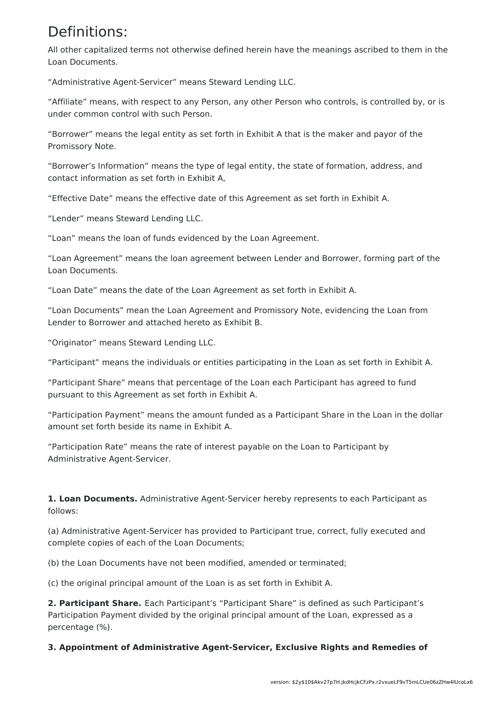## Definitions:

All other capitalized terms not otherwise defined herein have the meanings ascribed to them in the Loan Documents.

"Administrative Agent-Servicer" means Steward Lending LLC.

"Affiliate" means, with respect to any Person, any other Person who controls, is controlled by, or is under common control with such Person.

"Borrower" means the legal entity as set forth in Exhibit A that is the maker and payor of the Promissory Note.

"Borrower's Information" means the type of legal entity, the state of formation, address, and contact information as set forth in Exhibit A,

"Effective Date" means the effective date of this Agreement as set forth in Exhibit A.

"Lender" means Steward Lending LLC.

"Loan" means the loan of funds evidenced by the Loan Agreement.

"Loan Agreement" means the loan agreement between Lender and Borrower, forming part of the Loan Documents.

"Loan Date" means the date of the Loan Agreement as set forth in Exhibit A.

"Loan Documents" mean the Loan Agreement and Promissory Note, evidencing the Loan from Lender to Borrower and attached hereto as Exhibit B.

"Originator" means Steward Lending LLC.

"Participant" means the individuals or entities participating in the Loan as set forth in Exhibit A.

"Participant Share" means that percentage of the Loan each Participant has agreed to fund pursuant to this Agreement as set forth in Exhibit A.

"Participation Payment" means the amount funded as a Participant Share in the Loan in the dollar amount set forth beside its name in Exhibit A.

"Participation Rate" means the rate of interest payable on the Loan to Participant by Administrative Agent-Servicer.

**1. Loan Documents.** Administrative Agent-Servicer hereby represents to each Participant as follows:

(a) Administrative Agent-Servicer has provided to Participant true, correct, fully executed and complete copies of each of the Loan Documents;

(b) the Loan Documents have not been modified, amended or terminated;

(c) the original principal amount of the Loan is as set forth in Exhibit A.

**2. Participant Share.** Each Participant's "Participant Share" is defined as such Participant's Participation Payment divided by the original principal amount of the Loan, expressed as a percentage (%).

**3. Appointment of Administrative Agent-Servicer, Exclusive Rights and Remedies of**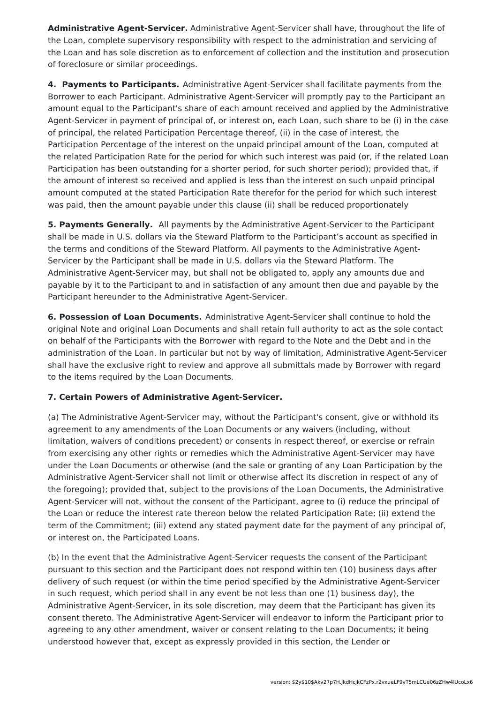**Administrative Agent-Servicer.** Administrative Agent-Servicer shall have, throughout the life of the Loan, complete supervisory responsibility with respect to the administration and servicing of the Loan and has sole discretion as to enforcement of collection and the institution and prosecution of foreclosure or similar proceedings.

**4. Payments to Participants.** Administrative Agent-Servicer shall facilitate payments from the Borrower to each Participant. Administrative Agent-Servicer will promptly pay to the Participant an amount equal to the Participant's share of each amount received and applied by the Administrative Agent-Servicer in payment of principal of, or interest on, each Loan, such share to be (i) in the case of principal, the related Participation Percentage thereof, (ii) in the case of interest, the Participation Percentage of the interest on the unpaid principal amount of the Loan, computed at the related Participation Rate for the period for which such interest was paid (or, if the related Loan Participation has been outstanding for a shorter period, for such shorter period); provided that, if the amount of interest so received and applied is less than the interest on such unpaid principal amount computed at the stated Participation Rate therefor for the period for which such interest was paid, then the amount payable under this clause (ii) shall be reduced proportionately

**5. Payments Generally.** All payments by the Administrative Agent-Servicer to the Participant shall be made in U.S. dollars via the Steward Platform to the Participant's account as specified in the terms and conditions of the Steward Platform. All payments to the Administrative Agent-Servicer by the Participant shall be made in U.S. dollars via the Steward Platform. The Administrative Agent-Servicer may, but shall not be obligated to, apply any amounts due and payable by it to the Participant to and in satisfaction of any amount then due and payable by the Participant hereunder to the Administrative Agent-Servicer.

**6. Possession of Loan Documents.** Administrative Agent-Servicer shall continue to hold the original Note and original Loan Documents and shall retain full authority to act as the sole contact on behalf of the Participants with the Borrower with regard to the Note and the Debt and in the administration of the Loan. In particular but not by way of limitation, Administrative Agent-Servicer shall have the exclusive right to review and approve all submittals made by Borrower with regard to the items required by the Loan Documents.

### **7. Certain Powers of Administrative Agent-Servicer.**

(a) The Administrative Agent-Servicer may, without the Participant's consent, give or withhold its agreement to any amendments of the Loan Documents or any waivers (including, without limitation, waivers of conditions precedent) or consents in respect thereof, or exercise or refrain from exercising any other rights or remedies which the Administrative Agent-Servicer may have under the Loan Documents or otherwise (and the sale or granting of any Loan Participation by the Administrative Agent-Servicer shall not limit or otherwise affect its discretion in respect of any of the foregoing); provided that, subject to the provisions of the Loan Documents, the Administrative Agent-Servicer will not, without the consent of the Participant, agree to (i) reduce the principal of the Loan or reduce the interest rate thereon below the related Participation Rate; (ii) extend the term of the Commitment; (iii) extend any stated payment date for the payment of any principal of, or interest on, the Participated Loans.

(b) In the event that the Administrative Agent-Servicer requests the consent of the Participant pursuant to this section and the Participant does not respond within ten (10) business days after delivery of such request (or within the time period specified by the Administrative Agent-Servicer in such request, which period shall in any event be not less than one (1) business day), the Administrative Agent-Servicer, in its sole discretion, may deem that the Participant has given its consent thereto. The Administrative Agent-Servicer will endeavor to inform the Participant prior to agreeing to any other amendment, waiver or consent relating to the Loan Documents; it being understood however that, except as expressly provided in this section, the Lender or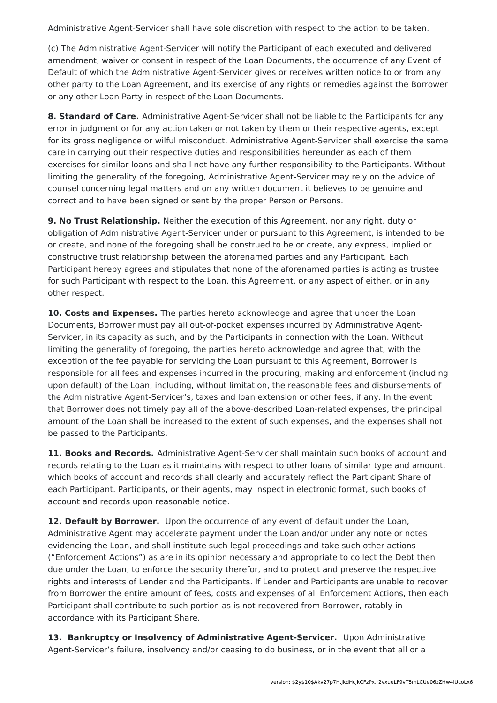Administrative Agent-Servicer shall have sole discretion with respect to the action to be taken.

(c) The Administrative Agent-Servicer will notify the Participant of each executed and delivered amendment, waiver or consent in respect of the Loan Documents, the occurrence of any Event of Default of which the Administrative Agent-Servicer gives or receives written notice to or from any other party to the Loan Agreement, and its exercise of any rights or remedies against the Borrower or any other Loan Party in respect of the Loan Documents.

**8. Standard of Care.** Administrative Agent-Servicer shall not be liable to the Participants for any error in judgment or for any action taken or not taken by them or their respective agents, except for its gross negligence or wilful misconduct. Administrative Agent-Servicer shall exercise the same care in carrying out their respective duties and responsibilities hereunder as each of them exercises for similar loans and shall not have any further responsibility to the Participants. Without limiting the generality of the foregoing, Administrative Agent-Servicer may rely on the advice of counsel concerning legal matters and on any written document it believes to be genuine and correct and to have been signed or sent by the proper Person or Persons.

**9. No Trust Relationship.** Neither the execution of this Agreement, nor any right, duty or obligation of Administrative Agent-Servicer under or pursuant to this Agreement, is intended to be or create, and none of the foregoing shall be construed to be or create, any express, implied or constructive trust relationship between the aforenamed parties and any Participant. Each Participant hereby agrees and stipulates that none of the aforenamed parties is acting as trustee for such Participant with respect to the Loan, this Agreement, or any aspect of either, or in any other respect.

**10. Costs and Expenses.** The parties hereto acknowledge and agree that under the Loan Documents, Borrower must pay all out-of-pocket expenses incurred by Administrative Agent-Servicer, in its capacity as such, and by the Participants in connection with the Loan. Without limiting the generality of foregoing, the parties hereto acknowledge and agree that, with the exception of the fee payable for servicing the Loan pursuant to this Agreement, Borrower is responsible for all fees and expenses incurred in the procuring, making and enforcement (including upon default) of the Loan, including, without limitation, the reasonable fees and disbursements of the Administrative Agent-Servicer's, taxes and loan extension or other fees, if any. In the event that Borrower does not timely pay all of the above-described Loan-related expenses, the principal amount of the Loan shall be increased to the extent of such expenses, and the expenses shall not be passed to the Participants.

**11. Books and Records.** Administrative Agent-Servicer shall maintain such books of account and records relating to the Loan as it maintains with respect to other loans of similar type and amount, which books of account and records shall clearly and accurately reflect the Participant Share of each Participant. Participants, or their agents, may inspect in electronic format, such books of account and records upon reasonable notice.

**12. Default by Borrower.** Upon the occurrence of any event of default under the Loan, Administrative Agent may accelerate payment under the Loan and/or under any note or notes evidencing the Loan, and shall institute such legal proceedings and take such other actions ("Enforcement Actions") as are in its opinion necessary and appropriate to collect the Debt then due under the Loan, to enforce the security therefor, and to protect and preserve the respective rights and interests of Lender and the Participants. If Lender and Participants are unable to recover from Borrower the entire amount of fees, costs and expenses of all Enforcement Actions, then each Participant shall contribute to such portion as is not recovered from Borrower, ratably in accordance with its Participant Share.

**13. Bankruptcy or Insolvency of Administrative Agent-Servicer.** Upon Administrative Agent-Servicer's failure, insolvency and/or ceasing to do business, or in the event that all or a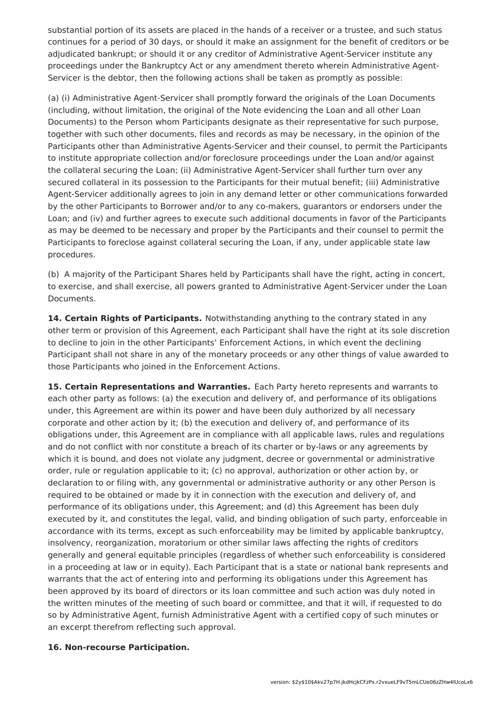substantial portion of its assets are placed in the hands of a receiver or a trustee, and such status continues for a period of 30 days, or should it make an assignment for the benefit of creditors or be adjudicated bankrupt; or should it or any creditor of Administrative Agent-Servicer institute any proceedings under the Bankruptcy Act or any amendment thereto wherein Administrative Agent-Servicer is the debtor, then the following actions shall be taken as promptly as possible:

(a) (i) Administrative Agent-Servicer shall promptly forward the originals of the Loan Documents (including, without limitation, the original of the Note evidencing the Loan and all other Loan Documents) to the Person whom Participants designate as their representative for such purpose, together with such other documents, files and records as may be necessary, in the opinion of the Participants other than Administrative Agents-Servicer and their counsel, to permit the Participants to institute appropriate collection and/or foreclosure proceedings under the Loan and/or against the collateral securing the Loan; (ii) Administrative Agent-Servicer shall further turn over any secured collateral in its possession to the Participants for their mutual benefit; (iii) Administrative Agent-Servicer additionally agrees to join in any demand letter or other communications forwarded by the other Participants to Borrower and/or to any co-makers, guarantors or endorsers under the Loan; and (iv) and further agrees to execute such additional documents in favor of the Participants as may be deemed to be necessary and proper by the Participants and their counsel to permit the Participants to foreclose against collateral securing the Loan, if any, under applicable state law procedures.

(b) A majority of the Participant Shares held by Participants shall have the right, acting in concert, to exercise, and shall exercise, all powers granted to Administrative Agent-Servicer under the Loan Documents.

**14. Certain Rights of Participants.** Notwithstanding anything to the contrary stated in any other term or provision of this Agreement, each Participant shall have the right at its sole discretion to decline to join in the other Participants' Enforcement Actions, in which event the declining Participant shall not share in any of the monetary proceeds or any other things of value awarded to those Participants who joined in the Enforcement Actions.

**15. Certain Representations and Warranties.** Each Party hereto represents and warrants to each other party as follows: (a) the execution and delivery of, and performance of its obligations under, this Agreement are within its power and have been duly authorized by all necessary corporate and other action by it; (b) the execution and delivery of, and performance of its obligations under, this Agreement are in compliance with all applicable laws, rules and regulations and do not conflict with nor constitute a breach of its charter or by-laws or any agreements by which it is bound, and does not violate any judgment, decree or governmental or administrative order, rule or regulation applicable to it; (c) no approval, authorization or other action by, or declaration to or filing with, any governmental or administrative authority or any other Person is required to be obtained or made by it in connection with the execution and delivery of, and performance of its obligations under, this Agreement; and (d) this Agreement has been duly executed by it, and constitutes the legal, valid, and binding obligation of such party, enforceable in accordance with its terms, except as such enforceability may be limited by applicable bankruptcy, insolvency, reorganization, moratorium or other similar laws affecting the rights of creditors generally and general equitable principles (regardless of whether such enforceability is considered in a proceeding at law or in equity). Each Participant that is a state or national bank represents and warrants that the act of entering into and performing its obligations under this Agreement has been approved by its board of directors or its loan committee and such action was duly noted in the written minutes of the meeting of such board or committee, and that it will, if requested to do so by Administrative Agent, furnish Administrative Agent with a certified copy of such minutes or an excerpt therefrom reflecting such approval.

#### **16. Non-recourse Participation.**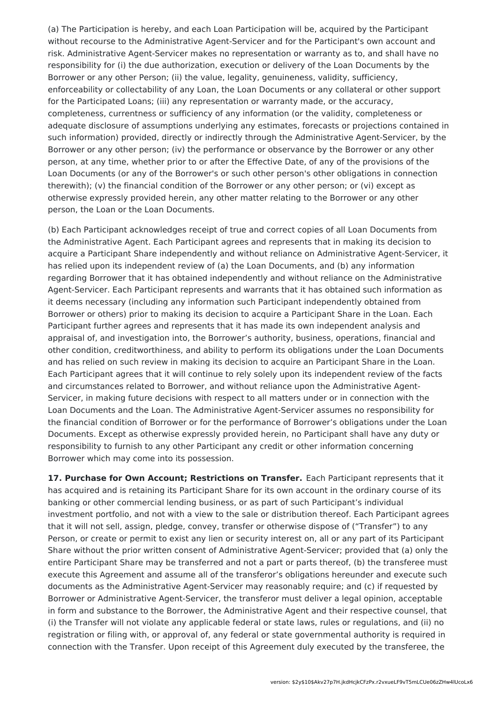(a) The Participation is hereby, and each Loan Participation will be, acquired by the Participant without recourse to the Administrative Agent-Servicer and for the Participant's own account and risk. Administrative Agent-Servicer makes no representation or warranty as to, and shall have no responsibility for (i) the due authorization, execution or delivery of the Loan Documents by the Borrower or any other Person; (ii) the value, legality, genuineness, validity, sufficiency, enforceability or collectability of any Loan, the Loan Documents or any collateral or other support for the Participated Loans; (iii) any representation or warranty made, or the accuracy, completeness, currentness or sufficiency of any information (or the validity, completeness or adequate disclosure of assumptions underlying any estimates, forecasts or projections contained in such information) provided, directly or indirectly through the Administrative Agent-Servicer, by the Borrower or any other person; (iv) the performance or observance by the Borrower or any other person, at any time, whether prior to or after the Effective Date, of any of the provisions of the Loan Documents (or any of the Borrower's or such other person's other obligations in connection therewith); (v) the financial condition of the Borrower or any other person; or (vi) except as otherwise expressly provided herein, any other matter relating to the Borrower or any other person, the Loan or the Loan Documents.

(b) Each Participant acknowledges receipt of true and correct copies of all Loan Documents from the Administrative Agent. Each Participant agrees and represents that in making its decision to acquire a Participant Share independently and without reliance on Administrative Agent-Servicer, it has relied upon its independent review of (a) the Loan Documents, and (b) any information regarding Borrower that it has obtained independently and without reliance on the Administrative Agent-Servicer. Each Participant represents and warrants that it has obtained such information as it deems necessary (including any information such Participant independently obtained from Borrower or others) prior to making its decision to acquire a Participant Share in the Loan. Each Participant further agrees and represents that it has made its own independent analysis and appraisal of, and investigation into, the Borrower's authority, business, operations, financial and other condition, creditworthiness, and ability to perform its obligations under the Loan Documents and has relied on such review in making its decision to acquire an Participant Share in the Loan. Each Participant agrees that it will continue to rely solely upon its independent review of the facts and circumstances related to Borrower, and without reliance upon the Administrative Agent-Servicer, in making future decisions with respect to all matters under or in connection with the Loan Documents and the Loan. The Administrative Agent-Servicer assumes no responsibility for the financial condition of Borrower or for the performance of Borrower's obligations under the Loan Documents. Except as otherwise expressly provided herein, no Participant shall have any duty or responsibility to furnish to any other Participant any credit or other information concerning Borrower which may come into its possession.

**17. Purchase for Own Account; Restrictions on Transfer.** Each Participant represents that it has acquired and is retaining its Participant Share for its own account in the ordinary course of its banking or other commercial lending business, or as part of such Participant's individual investment portfolio, and not with a view to the sale or distribution thereof. Each Participant agrees that it will not sell, assign, pledge, convey, transfer or otherwise dispose of ("Transfer") to any Person, or create or permit to exist any lien or security interest on, all or any part of its Participant Share without the prior written consent of Administrative Agent-Servicer; provided that (a) only the entire Participant Share may be transferred and not a part or parts thereof, (b) the transferee must execute this Agreement and assume all of the transferor's obligations hereunder and execute such documents as the Administrative Agent-Servicer may reasonably require; and (c) if requested by Borrower or Administrative Agent-Servicer, the transferor must deliver a legal opinion, acceptable in form and substance to the Borrower, the Administrative Agent and their respective counsel, that (i) the Transfer will not violate any applicable federal or state laws, rules or regulations, and (ii) no registration or filing with, or approval of, any federal or state governmental authority is required in connection with the Transfer. Upon receipt of this Agreement duly executed by the transferee, the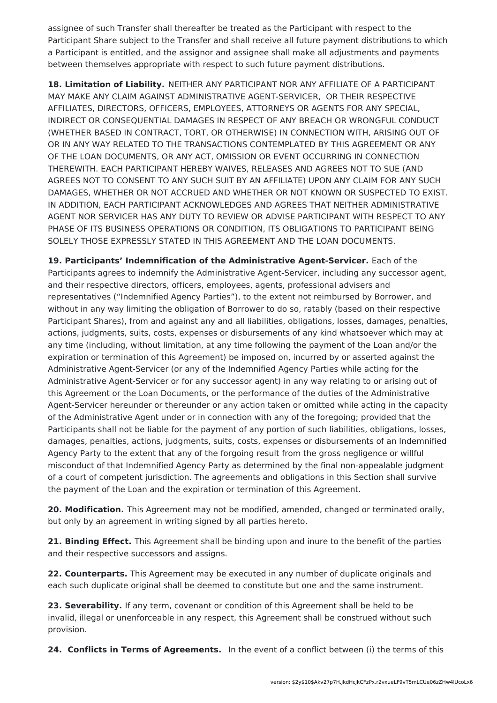assignee of such Transfer shall thereafter be treated as the Participant with respect to the Participant Share subject to the Transfer and shall receive all future payment distributions to which a Participant is entitled, and the assignor and assignee shall make all adjustments and payments between themselves appropriate with respect to such future payment distributions.

**18. Limitation of Liability.** NEITHER ANY PARTICIPANT NOR ANY AFFILIATE OF A PARTICIPANT MAY MAKE ANY CLAIM AGAINST ADMINISTRATIVE AGENT-SERVICER, OR THEIR RESPECTIVE AFFILIATES, DIRECTORS, OFFICERS, EMPLOYEES, ATTORNEYS OR AGENTS FOR ANY SPECIAL, INDIRECT OR CONSEQUENTIAL DAMAGES IN RESPECT OF ANY BREACH OR WRONGFUL CONDUCT (WHETHER BASED IN CONTRACT, TORT, OR OTHERWISE) IN CONNECTION WITH, ARISING OUT OF OR IN ANY WAY RELATED TO THE TRANSACTIONS CONTEMPLATED BY THIS AGREEMENT OR ANY OF THE LOAN DOCUMENTS, OR ANY ACT, OMISSION OR EVENT OCCURRING IN CONNECTION THEREWITH. EACH PARTICIPANT HEREBY WAIVES, RELEASES AND AGREES NOT TO SUE (AND AGREES NOT TO CONSENT TO ANY SUCH SUIT BY AN AFFILIATE) UPON ANY CLAIM FOR ANY SUCH DAMAGES, WHETHER OR NOT ACCRUED AND WHETHER OR NOT KNOWN OR SUSPECTED TO EXIST. IN ADDITION, EACH PARTICIPANT ACKNOWLEDGES AND AGREES THAT NEITHER ADMINISTRATIVE AGENT NOR SERVICER HAS ANY DUTY TO REVIEW OR ADVISE PARTICIPANT WITH RESPECT TO ANY PHASE OF ITS BUSINESS OPERATIONS OR CONDITION, ITS OBLIGATIONS TO PARTICIPANT BEING SOLELY THOSE EXPRESSLY STATED IN THIS AGREEMENT AND THE LOAN DOCUMENTS.

**19. Participants' Indemnification of the Administrative Agent-Servicer.** Each of the Participants agrees to indemnify the Administrative Agent-Servicer, including any successor agent, and their respective directors, officers, employees, agents, professional advisers and representatives ("Indemnified Agency Parties"), to the extent not reimbursed by Borrower, and without in any way limiting the obligation of Borrower to do so, ratably (based on their respective Participant Shares), from and against any and all liabilities, obligations, losses, damages, penalties, actions, judgments, suits, costs, expenses or disbursements of any kind whatsoever which may at any time (including, without limitation, at any time following the payment of the Loan and/or the expiration or termination of this Agreement) be imposed on, incurred by or asserted against the Administrative Agent-Servicer (or any of the Indemnified Agency Parties while acting for the Administrative Agent-Servicer or for any successor agent) in any way relating to or arising out of this Agreement or the Loan Documents, or the performance of the duties of the Administrative Agent-Servicer hereunder or thereunder or any action taken or omitted while acting in the capacity of the Administrative Agent under or in connection with any of the foregoing; provided that the Participants shall not be liable for the payment of any portion of such liabilities, obligations, losses, damages, penalties, actions, judgments, suits, costs, expenses or disbursements of an Indemnified Agency Party to the extent that any of the forgoing result from the gross negligence or willful misconduct of that Indemnified Agency Party as determined by the final non-appealable judgment of a court of competent jurisdiction. The agreements and obligations in this Section shall survive the payment of the Loan and the expiration or termination of this Agreement.

**20. Modification.** This Agreement may not be modified, amended, changed or terminated orally, but only by an agreement in writing signed by all parties hereto.

**21. Binding Effect.** This Agreement shall be binding upon and inure to the benefit of the parties and their respective successors and assigns.

**22. Counterparts.** This Agreement may be executed in any number of duplicate originals and each such duplicate original shall be deemed to constitute but one and the same instrument.

**23. Severability.** If any term, covenant or condition of this Agreement shall be held to be invalid, illegal or unenforceable in any respect, this Agreement shall be construed without such provision.

**24. Conflicts in Terms of Agreements.** In the event of a conflict between (i) the terms of this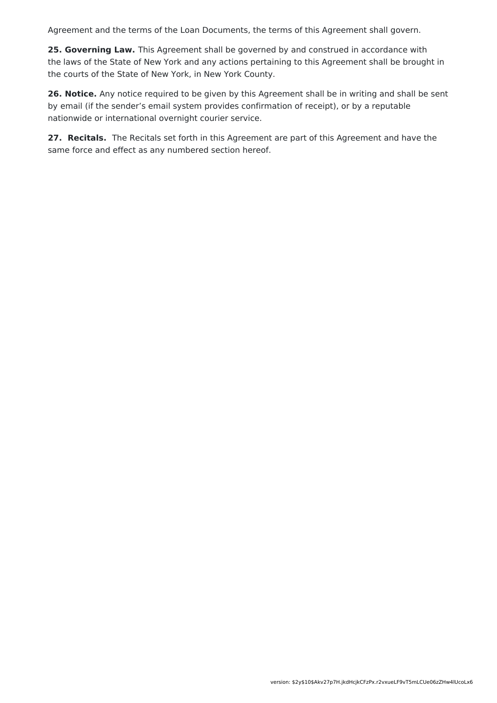Agreement and the terms of the Loan Documents, the terms of this Agreement shall govern.

**25. Governing Law.** This Agreement shall be governed by and construed in accordance with the laws of the State of New York and any actions pertaining to this Agreement shall be brought in the courts of the State of New York, in New York County.

**26. Notice.** Any notice required to be given by this Agreement shall be in writing and shall be sent by email (if the sender's email system provides confirmation of receipt), or by a reputable nationwide or international overnight courier service.

**27. Recitals.** The Recitals set forth in this Agreement are part of this Agreement and have the same force and effect as any numbered section hereof.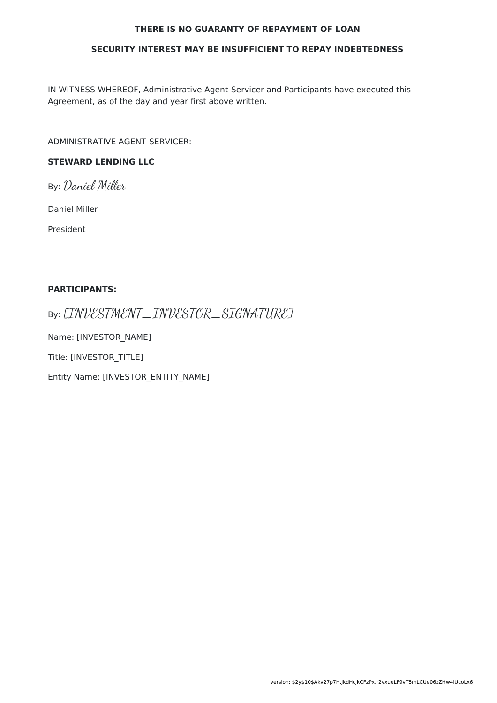#### **THERE IS NO GUARANTY OF REPAYMENT OF LOAN**

#### **SECURITY INTEREST MAY BE INSUFFICIENT TO REPAY INDEBTEDNESS**

IN WITNESS WHEREOF, Administrative Agent-Servicer and Participants have executed this Agreement, as of the day and year first above written.

ADMINISTRATIVE AGENT-SERVICER:

### **STEWARD LENDING LLC**

By: Daniel Miller

Daniel Miller

President

#### **PARTICIPANTS:**

By: [INVESTMENT\_INVESTOR\_SIGNATURE]

Name: [INVESTOR\_NAME]

Title: [INVESTOR\_TITLE]

Entity Name: [INVESTOR\_ENTITY\_NAME]